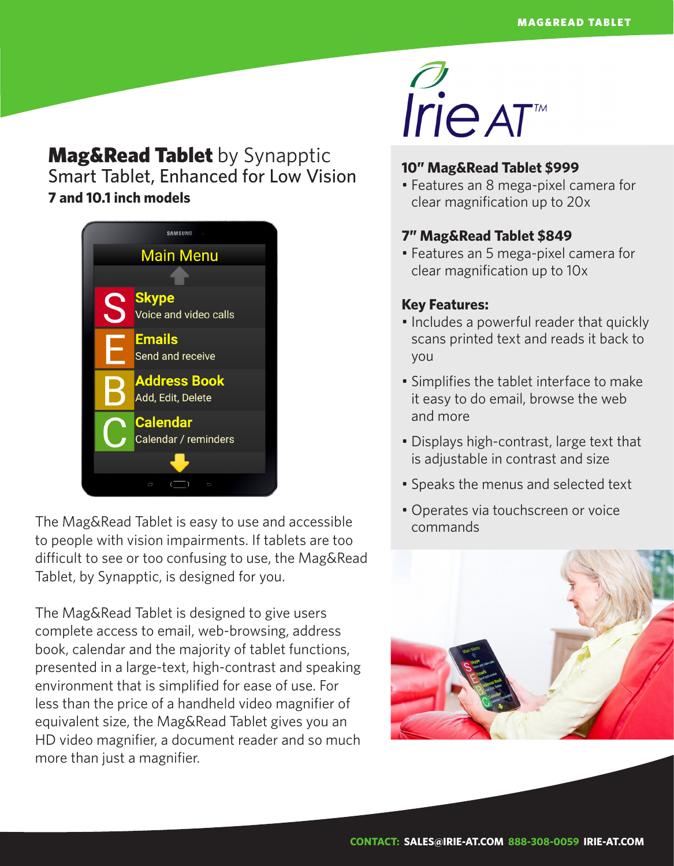# **Mag&Read Tablet** by Synapptic Smart Tablet, Enhanced for Low Vision **7 and 10.1 inch models**



The Mag&Read Tablet is easy to use and accessible to people with vision impairments. If tablets are too difficult to see or too confusing to use, the Mag&Read Tablet, by Synapptic, is designed for you.

The Mag&Read Tablet is designed to give users complete access to email, web-browsing, address book, calendar and the majority of tablet functions, presented in a large-text, high-contrast and speaking environment that is simplified for ease of use. For less than the price of a handheld video magnifier of equivalent size, the Mag&Read Tablet gives you an HD video magnifier, a document reader and so much more than just a magnifier.



## **10" Mag&Read Tablet \$999**

• Features an 8 mega-pixel camera for clear magnification up to 20x

### **7" Mag&Read Tablet \$849**

• Features an 5 mega-pixel camera for clear magnification up to 10x

### **Key Features:**

- Includes a powerful reader that quickly scans printed text and reads it back to you
- Simplifies the tablet interface to make it easy to do email, browse the web and more
- Displays high-contrast, large text that is adjustable in contrast and size
- Speaks the menus and selected text
- Operates via touchscreen or voice commands